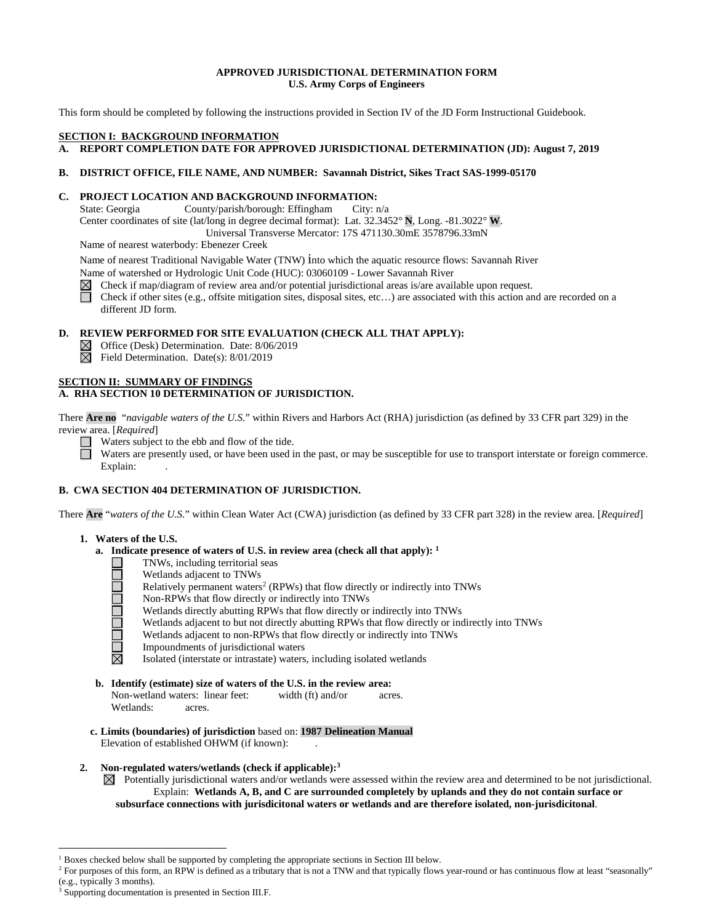# **APPROVED JURISDICTIONAL DETERMINATION FORM U.S. Army Corps of Engineers**

This form should be completed by following the instructions provided in Section IV of the JD Form Instructional Guidebook.

# **SECTION I: BACKGROUND INFORMATION**

# **A. REPORT COMPLETION DATE FOR APPROVED JURISDICTIONAL DETERMINATION (JD): August 7, 2019**

#### **B. DISTRICT OFFICE, FILE NAME, AND NUMBER: Savannah District, Sikes Tract SAS-1999-05170**

#### **C. PROJECT LOCATION AND BACKGROUND INFORMATION:**

State: Georgia County/parish/borough: Effingham City: n/a Center coordinates of site (lat/long in degree decimal format): Lat. 32.3452° **N**, Long. -81.3022° **W**. Universal Transverse Mercator: 17S 471130.30mE 3578796.33mN

Name of nearest waterbody: Ebenezer Creek

Name of nearest Traditional Navigable Water (TNW) into which the aquatic resource flows: Savannah River Name of watershed or Hydrologic Unit Code (HUC): 03060109 - Lower Savannah River

 $\boxtimes$ Check if map/diagram of review area and/or potential jurisdictional areas is/are available upon request.

П Check if other sites (e.g., offsite mitigation sites, disposal sites, etc…) are associated with this action and are recorded on a different JD form.

# **D. REVIEW PERFORMED FOR SITE EVALUATION (CHECK ALL THAT APPLY):**

 $\boxtimes$  Office (Desk) Determination. Date: 8/06/2019

 $\boxtimes$  Field Determination. Date(s): 8/01/2019

#### **SECTION II: SUMMARY OF FINDINGS A. RHA SECTION 10 DETERMINATION OF JURISDICTION.**

There **Are no** "*navigable waters of the U.S.*" within Rivers and Harbors Act (RHA) jurisdiction (as defined by 33 CFR part 329) in the review area. [*Required*]

Waters subject to the ebb and flow of the tide.  $\Box$ 

Waters are presently used, or have been used in the past, or may be susceptible for use to transport interstate or foreign commerce. Explain:

# **B. CWA SECTION 404 DETERMINATION OF JURISDICTION.**

There **Are** "*waters of the U.S.*" within Clean Water Act (CWA) jurisdiction (as defined by 33 CFR part 328) in the review area. [*Required*]

#### **1. Waters of the U.S.**

- **a. Indicate presence of waters of U.S. in review area (check all that apply): 1**
	-
	- Wetlands adjacent to TNWs
	- Relatively permanent waters<sup>2</sup> (RPWs) that flow directly or indirectly into TNWs
	- Non-RPWs that flow directly or indirectly into TNWs
	- Wetlands directly abutting RPWs that flow directly or indirectly into TNWs
	- **TNWs, including territorial seas<br>
	Wetlands adjacent to TNWs<br>
	Relatively permanent waters<sup>2</sup> (R<br>
	Non-RPWs that flow directly or<br>
	Wetlands dijacent to but not dir<br>
	Wetlands adjacent to non-RPWs<br>
	Impoundments of jurisdiction**  Wetlands adjacent to but not directly abutting RPWs that flow directly or indirectly into TNWs
		- Wetlands adjacent to non-RPWs that flow directly or indirectly into TNWs
	- $\Box$  Impoundments of jurisdictional waters<br> $\boxtimes$  Isolated (interstate or intrastate) waters
		- Isolated (interstate or intrastate) waters, including isolated wetlands
- **b. Identify (estimate) size of waters of the U.S. in the review area:** Non-wetland waters: linear feet: width (ft) and/or acres. Wetlands: acres.
- **c. Limits (boundaries) of jurisdiction** based on: **1987 Delineation Manual** Elevation of established OHWM (if known):
- **2. Non-regulated waters/wetlands (check if applicable):3**

 $\boxtimes$  Potentially jurisdictional waters and/or wetlands were assessed within the review area and determined to be not jurisdictional. Explain: **Wetlands A, B, and C are surrounded completely by uplands and they do not contain surface or subsurface connections with jurisdicitonal waters or wetlands and are therefore isolated, non-jurisdicitonal**.

 $\overline{a}$ 

<sup>&</sup>lt;sup>1</sup> Boxes checked below shall be supported by completing the appropriate sections in Section III below.

<sup>&</sup>lt;sup>2</sup> For purposes of this form, an RPW is defined as a tributary that is not a TNW and that typically flows year-round or has continuous flow at least "seasonally" (e.g., typically 3 months).

Supporting documentation is presented in Section III.F.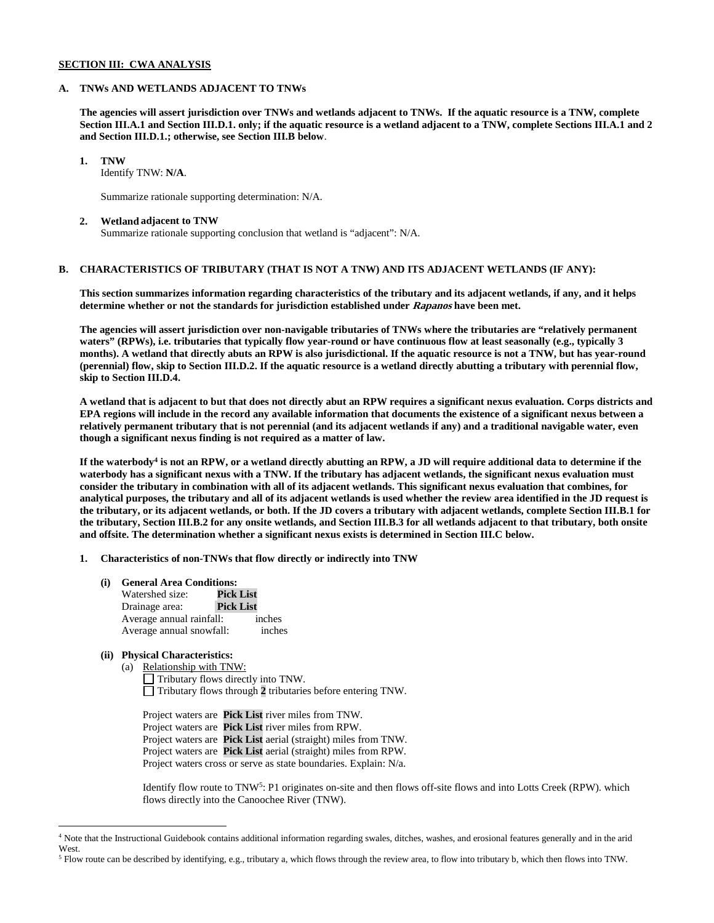# **SECTION III: CWA ANALYSIS**

#### **A. TNWs AND WETLANDS ADJACENT TO TNWs**

**The agencies will assert jurisdiction over TNWs and wetlands adjacent to TNWs. If the aquatic resource is a TNW, complete Section III.A.1 and Section III.D.1. only; if the aquatic resource is a wetland adjacent to a TNW, complete Sections III.A.1 and 2 and Section III.D.1.; otherwise, see Section III.B below**.

 **1. TNW** 

Identify TNW: **N/A**.

Summarize rationale supporting determination: N/A.

#### **2. Wetland adjacent to TNW**

Summarize rationale supporting conclusion that wetland is "adjacent": N/A.

# **B. CHARACTERISTICS OF TRIBUTARY (THAT IS NOT A TNW) AND ITS ADJACENT WETLANDS (IF ANY):**

 **This section summarizes information regarding characteristics of the tributary and its adjacent wetlands, if any, and it helps determine whether or not the standards for jurisdiction established under Rapanos have been met.** 

 **The agencies will assert jurisdiction over non-navigable tributaries of TNWs where the tributaries are "relatively permanent waters" (RPWs), i.e. tributaries that typically flow year-round or have continuous flow at least seasonally (e.g., typically 3 months). A wetland that directly abuts an RPW is also jurisdictional. If the aquatic resource is not a TNW, but has year-round (perennial) flow, skip to Section III.D.2. If the aquatic resource is a wetland directly abutting a tributary with perennial flow, skip to Section III.D.4.** 

**A wetland that is adjacent to but that does not directly abut an RPW requires a significant nexus evaluation. Corps districts and EPA regions will include in the record any available information that documents the existence of a significant nexus between a relatively permanent tributary that is not perennial (and its adjacent wetlands if any) and a traditional navigable water, even though a significant nexus finding is not required as a matter of law.** 

**If the waterbody4 is not an RPW, or a wetland directly abutting an RPW, a JD will require additional data to determine if the waterbody has a significant nexus with a TNW. If the tributary has adjacent wetlands, the significant nexus evaluation must consider the tributary in combination with all of its adjacent wetlands. This significant nexus evaluation that combines, for analytical purposes, the tributary and all of its adjacent wetlands is used whether the review area identified in the JD request is the tributary, or its adjacent wetlands, or both. If the JD covers a tributary with adjacent wetlands, complete Section III.B.1 for the tributary, Section III.B.2 for any onsite wetlands, and Section III.B.3 for all wetlands adjacent to that tributary, both onsite and offsite. The determination whether a significant nexus exists is determined in Section III.C below.** 

 **1. Characteristics of non-TNWs that flow directly or indirectly into TNW**

 **(i) General Area Conditions:**

| Watershed size:          | <b>Pick List</b> |
|--------------------------|------------------|
| Drainage area:           | <b>Pick List</b> |
| Average annual rainfall: | inches           |
| Average annual snowfall: | inches           |

# **(ii) Physical Characteristics:**

 $\overline{a}$ 

(a) Relationship with TNW: Tributary flows directly into TNW. Tributary flows through **2** tributaries before entering TNW.

Project waters are **Pick List** river miles from TNW. Project waters are **Pick List** river miles from RPW. Project waters are **Pick List** aerial (straight) miles from TNW. Project waters are **Pick List** aerial (straight) miles from RPW. Project waters cross or serve as state boundaries. Explain: N/a.

Identify flow route to TNW5: P1 originates on-site and then flows off-site flows and into Lotts Creek (RPW). which flows directly into the Canoochee River (TNW).

<sup>4</sup> Note that the Instructional Guidebook contains additional information regarding swales, ditches, washes, and erosional features generally and in the arid West.

<sup>5</sup> Flow route can be described by identifying, e.g., tributary a, which flows through the review area, to flow into tributary b, which then flows into TNW.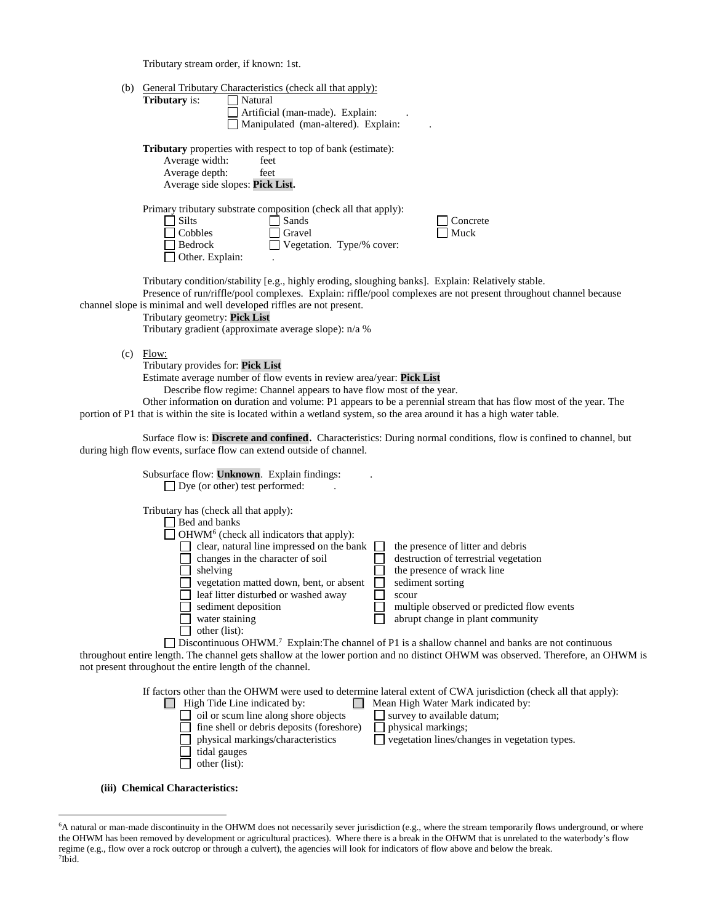Tributary stream order, if known: 1st.

| (b) | <b>General Tributary Characteristics (check all that apply):</b><br><b>Tributary</b> is:<br>Natural<br>Artificial (man-made). Explain:<br>Manipulated (man-altered). Explain:                                                                                                                                                                                                            |
|-----|------------------------------------------------------------------------------------------------------------------------------------------------------------------------------------------------------------------------------------------------------------------------------------------------------------------------------------------------------------------------------------------|
|     | <b>Tributary</b> properties with respect to top of bank (estimate):<br>Average width:<br>feet<br>Average depth:<br>feet<br>Average side slopes: Pick List.                                                                                                                                                                                                                               |
|     | Primary tributary substrate composition (check all that apply):<br>Concrete<br><b>Silts</b><br>Sands<br>Cobbles<br>Gravel<br>Muck<br>Bedrock<br>$\Box$ Vegetation. Type/% cover:<br>Other. Explain:                                                                                                                                                                                      |
|     | Tributary condition/stability [e.g., highly eroding, sloughing banks]. Explain: Relatively stable.<br>Presence of run/riffle/pool complexes. Explain: riffle/pool complexes are not present throughout channel because<br>channel slope is minimal and well developed riffles are not present.<br>Tributary geometry: Pick List<br>Tributary gradient (approximate average slope): n/a % |
| (c) | Flow:<br>Tributary provides for: Pick List<br>Estimate average number of flow events in review area/year: <b>Pick List</b>                                                                                                                                                                                                                                                               |

Describe flow regime: Channel appears to have flow most of the year.

 Other information on duration and volume: P1 appears to be a perennial stream that has flow most of the year. The portion of P1 that is within the site is located within a wetland system, so the area around it has a high water table.

 Surface flow is: **Discrete and confined.** Characteristics: During normal conditions, flow is confined to channel, but during high flow events, surface flow can extend outside of channel.

| the presence of litter and debris                                                                             |
|---------------------------------------------------------------------------------------------------------------|
| destruction of terrestrial vegetation                                                                         |
| the presence of wrack line                                                                                    |
| sediment sorting                                                                                              |
| scour                                                                                                         |
| multiple observed or predicted flow events                                                                    |
| abrupt change in plant community                                                                              |
|                                                                                                               |
| Discontinuous OHWM. <sup>7</sup> Explain: The channel of P1 is a shallow channel and banks are not continuous |
| clear, natural line impressed on the bank                                                                     |

throughout entire length. The channel gets shallow at the lower portion and no distinct OHWM was observed. Therefore, an OHWM is not present throughout the entire length of the channel.

If factors other than the OHWM were used to determine lateral extent of CWA jurisdiction (check all that apply):

| High Tide Line indicated by:              | Mean High Water Mark indicated by:            |
|-------------------------------------------|-----------------------------------------------|
| oil or scum line along shore objects      | $\vert$ survey to available datum;            |
| fine shell or debris deposits (foreshore) | physical markings;                            |
| physical markings/characteristics         | vegetation lines/changes in vegetation types. |
| tidal gauges                              |                                               |
| $\Box$ other (list):                      |                                               |
|                                           |                                               |

 **(iii) Chemical Characteristics:**

 $\overline{a}$ 

<sup>6</sup> A natural or man-made discontinuity in the OHWM does not necessarily sever jurisdiction (e.g., where the stream temporarily flows underground, or where the OHWM has been removed by development or agricultural practices). Where there is a break in the OHWM that is unrelated to the waterbody's flow regime (e.g., flow over a rock outcrop or through a culvert), the agencies will look for indicators of flow above and below the break. 7 Ibid.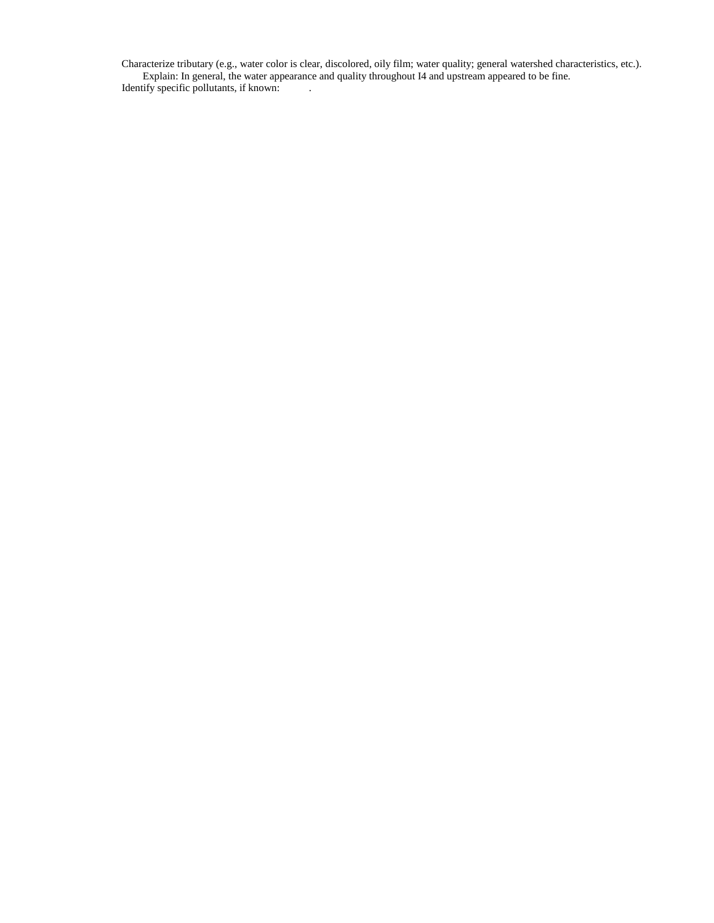Characterize tributary (e.g., water color is clear, discolored, oily film; water quality; general watershed characteristics, etc.). Explain: In general, the water appearance and quality throughout I4 and upstream appeared to be fine. Identify specific pollutants, if known: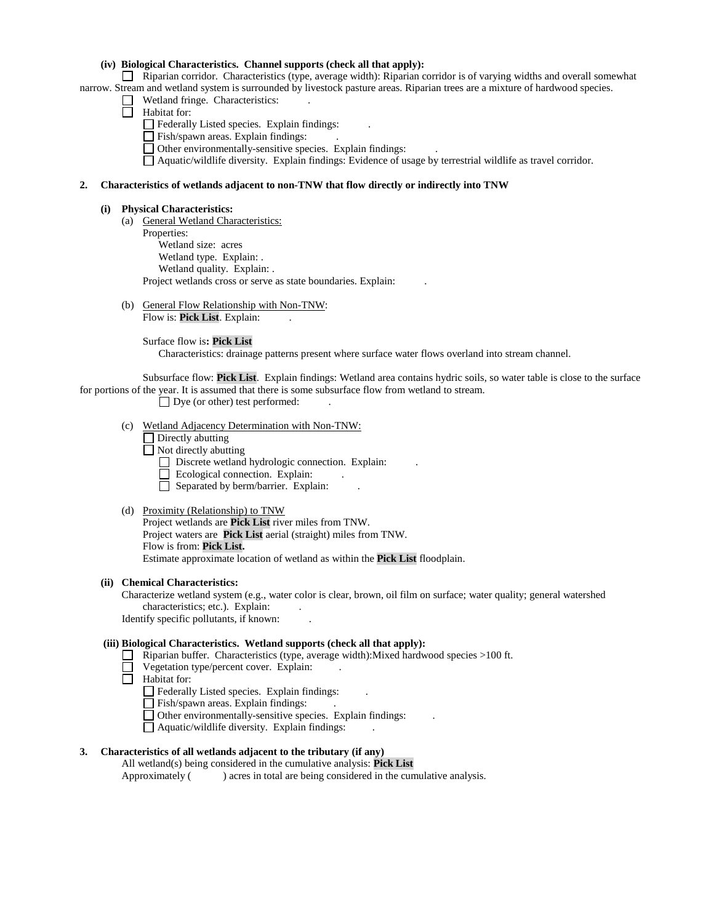# **(iv) Biological Characteristics. Channel supports (check all that apply):**

 Riparian corridor. Characteristics (type, average width): Riparian corridor is of varying widths and overall somewhat narrow. Stream and wetland system is surrounded by livestock pasture areas. Riparian trees are a mixture of hardwood species.

- $\Box$  Wetland fringe. Characteristics:
- $\Box$  Habitat for:
	- Federally Listed species. Explain findings: .
	- Fish/spawn areas. Explain findings: .
	- Other environmentally-sensitive species. Explain findings: .

Aquatic/wildlife diversity. Explain findings: Evidence of usage by terrestrial wildlife as travel corridor.

# **2. Characteristics of wetlands adjacent to non-TNW that flow directly or indirectly into TNW**

#### **(i) Physical Characteristics:**

 (a) General Wetland Characteristics: Properties: Wetland size: acres Wetland type. Explain: . Wetland quality. Explain: . Project wetlands cross or serve as state boundaries. Explain:

(b) General Flow Relationship with Non-TNW: Flow is: Pick List. Explain:

Surface flow is**: Pick List** 

Characteristics: drainage patterns present where surface water flows overland into stream channel.

 Subsurface flow: **Pick List**. Explain findings: Wetland area contains hydric soils, so water table is close to the surface for portions of the year. It is assumed that there is some subsurface flow from wetland to stream.

 $\Box$  Dye (or other) test performed:

- (c) Wetland Adjacency Determination with Non-TNW:
	- □ Directly abutting
	- Not directly abutting
		- Discrete wetland hydrologic connection. Explain:
		- $\Box$  Ecological connection. Explain:
		- $\Box$  Separated by berm/barrier. Explain:

#### (d) Proximity (Relationship) to TNW

Project wetlands are **Pick List** river miles from TNW. Project waters are **Pick List** aerial (straight) miles from TNW. Flow is from: **Pick List.** Estimate approximate location of wetland as within the **Pick List** floodplain.

# **(ii) Chemical Characteristics:**

Characterize wetland system (e.g., water color is clear, brown, oil film on surface; water quality; general watershed characteristics; etc.). Explain:

Identify specific pollutants, if known: .

# **(iii) Biological Characteristics. Wetland supports (check all that apply):**

- Riparian buffer. Characteristics (type, average width):Mixed hardwood species >100 ft.
- $\Box$  Vegetation type/percent cover. Explain:
- Habitat for:
	- Federally Listed species. Explain findings: .
	- Fish/spawn areas. Explain findings:
	- Other environmentally-sensitive species. Explain findings: .
	- $\Box$  Aquatic/wildlife diversity. Explain findings:

# **3. Characteristics of all wetlands adjacent to the tributary (if any)**

All wetland(s) being considered in the cumulative analysis: **Pick List** Approximately ( ) acres in total are being considered in the cumulative analysis.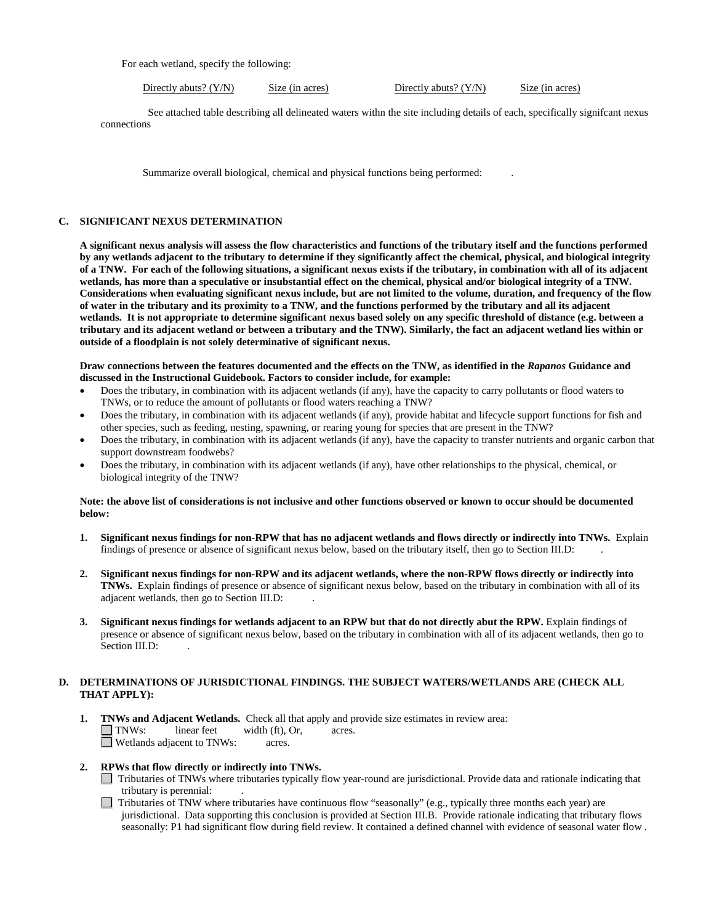For each wetland, specify the following:

Directly abuts? (Y/N) Size (in acres) Directly abuts? (Y/N) Size (in acres)

 See attached table describing all delineated waters withn the site including details of each, specifically signifcant nexus connections

Summarize overall biological, chemical and physical functions being performed:

# **C. SIGNIFICANT NEXUS DETERMINATION**

**A significant nexus analysis will assess the flow characteristics and functions of the tributary itself and the functions performed by any wetlands adjacent to the tributary to determine if they significantly affect the chemical, physical, and biological integrity of a TNW. For each of the following situations, a significant nexus exists if the tributary, in combination with all of its adjacent wetlands, has more than a speculative or insubstantial effect on the chemical, physical and/or biological integrity of a TNW. Considerations when evaluating significant nexus include, but are not limited to the volume, duration, and frequency of the flow of water in the tributary and its proximity to a TNW, and the functions performed by the tributary and all its adjacent wetlands. It is not appropriate to determine significant nexus based solely on any specific threshold of distance (e.g. between a tributary and its adjacent wetland or between a tributary and the TNW). Similarly, the fact an adjacent wetland lies within or outside of a floodplain is not solely determinative of significant nexus.** 

#### **Draw connections between the features documented and the effects on the TNW, as identified in the** *Rapanos* **Guidance and discussed in the Instructional Guidebook. Factors to consider include, for example:**

- Does the tributary, in combination with its adjacent wetlands (if any), have the capacity to carry pollutants or flood waters to TNWs, or to reduce the amount of pollutants or flood waters reaching a TNW?
- Does the tributary, in combination with its adjacent wetlands (if any), provide habitat and lifecycle support functions for fish and other species, such as feeding, nesting, spawning, or rearing young for species that are present in the TNW?
- Does the tributary, in combination with its adjacent wetlands (if any), have the capacity to transfer nutrients and organic carbon that support downstream foodwebs?
- Does the tributary, in combination with its adjacent wetlands (if any), have other relationships to the physical, chemical, or biological integrity of the TNW?

## **Note: the above list of considerations is not inclusive and other functions observed or known to occur should be documented below:**

- **1. Significant nexus findings for non-RPW that has no adjacent wetlands and flows directly or indirectly into TNWs.** Explain findings of presence or absence of significant nexus below, based on the tributary itself, then go to Section III.D: .
- **2. Significant nexus findings for non-RPW and its adjacent wetlands, where the non-RPW flows directly or indirectly into TNWs.** Explain findings of presence or absence of significant nexus below, based on the tributary in combination with all of its adjacent wetlands, then go to Section III.D: .
- **3. Significant nexus findings for wetlands adjacent to an RPW but that do not directly abut the RPW.** Explain findings of presence or absence of significant nexus below, based on the tributary in combination with all of its adjacent wetlands, then go to Section III.D:

# **D. DETERMINATIONS OF JURISDICTIONAL FINDINGS. THE SUBJECT WATERS/WETLANDS ARE (CHECK ALL THAT APPLY):**

- **1. TNWs and Adjacent Wetlands.** Check all that apply and provide size estimates in review area: TNWs: linear feet width (ft), Or, acres.<br>
Netlands adiacent to TNWs: acres. **D** Wetlands adjacent to TNWs:
- **2. RPWs that flow directly or indirectly into TNWs.** 
	- Tributaries of TNWs where tributaries typically flow year-round are jurisdictional. Provide data and rationale indicating that tributary is perennial: .
	- $\Box$  Tributaries of TNW where tributaries have continuous flow "seasonally" (e.g., typically three months each year) are jurisdictional. Data supporting this conclusion is provided at Section III.B. Provide rationale indicating that tributary flows seasonally: P1 had significant flow during field review. It contained a defined channel with evidence of seasonal water flow .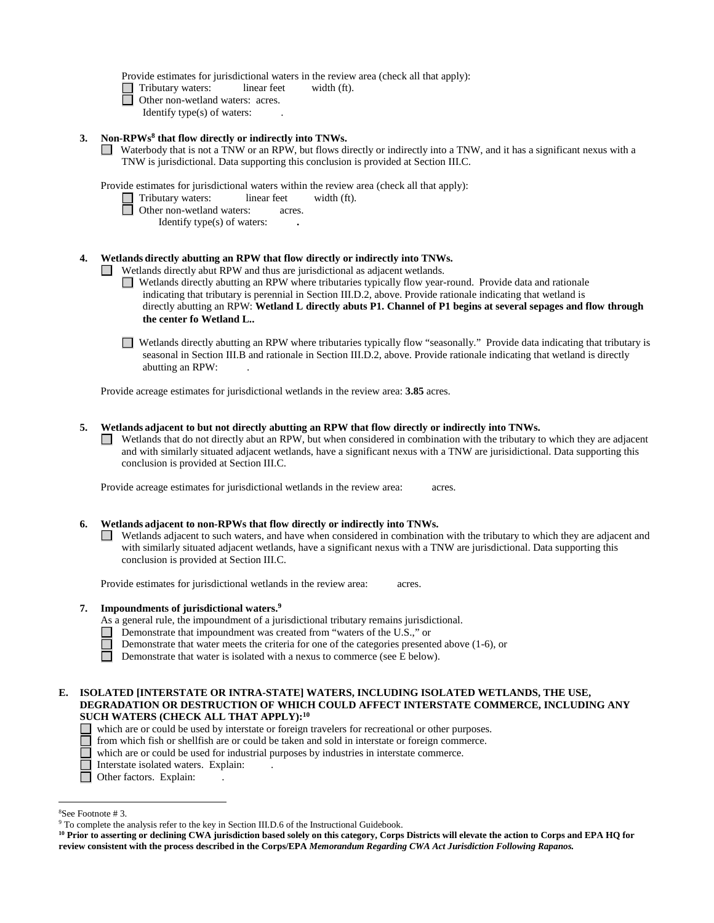Provide estimates for jurisdictional waters in the review area (check all that apply):

- Tributary waters:linear feetwidth (ft).
- □ Other non-wetland waters: acres.
	- Identify type(s) of waters: .

#### **3. Non-RPWs8 that flow directly or indirectly into TNWs.**

Waterbody that is not a TNW or an RPW, but flows directly or indirectly into a TNW, and it has a significant nexus with a TNW is jurisdictional. Data supporting this conclusion is provided at Section III.C.

Provide estimates for jurisdictional waters within the review area (check all that apply):

- Tributary waters:linear feetwidth (ft).
- □ Other non-wetland waters: acres.
	- Identify type(s) of waters: **.**

#### **4. Wetlands directly abutting an RPW that flow directly or indirectly into TNWs.**

**I** Wetlands directly abut RPW and thus are jurisdictional as adjacent wetlands.

Wetlands directly abutting an RPW where tributaries typically flow year-round. Provide data and rationale indicating that tributary is perennial in Section III.D.2, above. Provide rationale indicating that wetland is directly abutting an RPW: **Wetland L directly abuts P1. Channel of P1 begins at several sepages and flow through the center fo Wetland L..** 

Wetlands directly abutting an RPW where tributaries typically flow "seasonally." Provide data indicating that tributary is seasonal in Section III.B and rationale in Section III.D.2, above. Provide rationale indicating that wetland is directly abutting an RPW: .

Provide acreage estimates for jurisdictional wetlands in the review area: **3.85** acres.

#### **5. Wetlands adjacent to but not directly abutting an RPW that flow directly or indirectly into TNWs.**

 Wetlands that do not directly abut an RPW, but when considered in combination with the tributary to which they are adjacent and with similarly situated adjacent wetlands, have a significant nexus with a TNW are jurisidictional. Data supporting this conclusion is provided at Section III.C.

Provide acreage estimates for jurisdictional wetlands in the review area:acres.

#### **6. Wetlands adjacent to non-RPWs that flow directly or indirectly into TNWs.**

Wetlands adjacent to such waters, and have when considered in combination with the tributary to which they are adjacent and with similarly situated adjacent wetlands, have a significant nexus with a TNW are jurisdictional. Data supporting this conclusion is provided at Section III.C.

Provide estimates for jurisdictional wetlands in the review area:acres.

# **7. Impoundments of jurisdictional waters. 9**

As a general rule, the impoundment of a jurisdictional tributary remains jurisdictional.

- Demonstrate that impoundment was created from "waters of the U.S.," or
	- Demonstrate that water meets the criteria for one of the categories presented above (1-6), or
- Demonstrate that water is isolated with a nexus to commerce (see E below).

## **E. ISOLATED [INTERSTATE OR INTRA-STATE] WATERS, INCLUDING ISOLATED WETLANDS, THE USE, DEGRADATION OR DESTRUCTION OF WHICH COULD AFFECT INTERSTATE COMMERCE, INCLUDING ANY SUCH WATERS (CHECK ALL THAT APPLY):10**

- which are or could be used by interstate or foreign travelers for recreational or other purposes.
- from which fish or shellfish are or could be taken and sold in interstate or foreign commerce.
- which are or could be used for industrial purposes by industries in interstate commerce.
- □ Interstate isolated waters. Explain:
- □ Other factors. Explain:

 $\overline{a}$ 

<sup>&</sup>lt;sup>8</sup>See Footnote #3.

<sup>&</sup>lt;sup>9</sup> To complete the analysis refer to the key in Section III.D.6 of the Instructional Guidebook.

**<sup>10</sup> Prior to asserting or declining CWA jurisdiction based solely on this category, Corps Districts will elevate the action to Corps and EPA HQ for review consistent with the process described in the Corps/EPA** *Memorandum Regarding CWA Act Jurisdiction Following Rapanos.*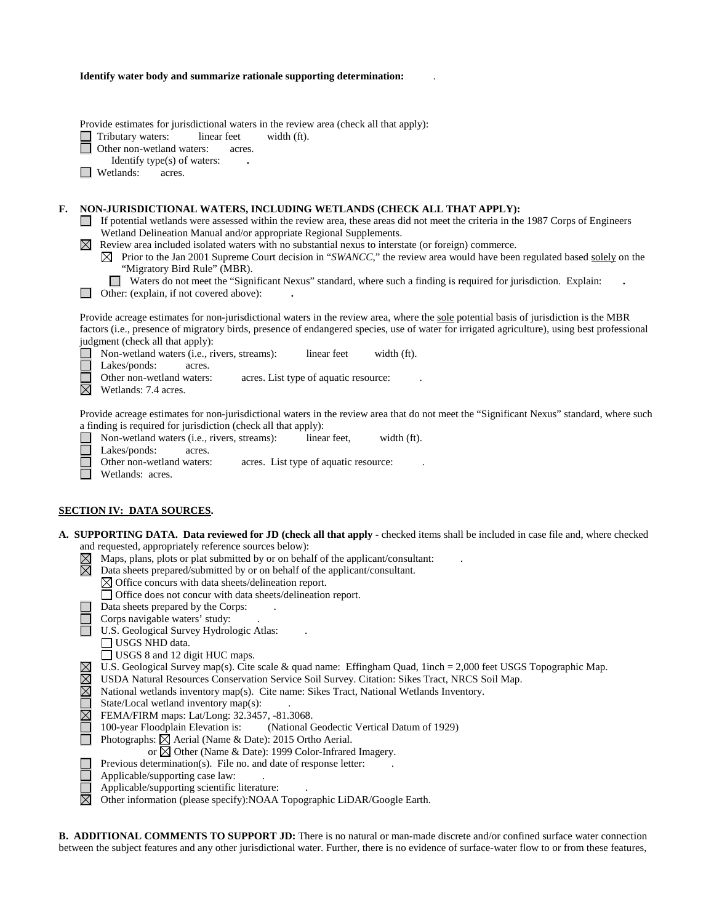|  | Identify water body and summarize rationale supporting determination: |  |  |
|--|-----------------------------------------------------------------------|--|--|
|--|-----------------------------------------------------------------------|--|--|

Provide estimates for jurisdictional waters in the review area (check all that apply):

Tributary waters: linear feet width (ft).  $\Box$ 

Other non-wetland waters: acres.

Identify type(s) of waters: **.** 

**Netlands:** acres.

## **F. NON-JURISDICTIONAL WATERS, INCLUDING WETLANDS (CHECK ALL THAT APPLY):**

- If potential wetlands were assessed within the review area, these areas did not meet the criteria in the 1987 Corps of Engineers Wetland Delineation Manual and/or appropriate Regional Supplements.
- $\boxtimes$  Review area included isolated waters with no substantial nexus to interstate (or foreign) commerce.
	- $\boxtimes$  Prior to the Jan 2001 Supreme Court decision in "*SWANCC*," the review area would have been regulated based solely on the "Migratory Bird Rule" (MBR).
		- Waters do not meet the "Significant Nexus" standard, where such a finding is required for jurisdiction. Explain:
- Other: (explain, if not covered above): **.**

Provide acreage estimates for non-jurisdictional waters in the review area, where the sole potential basis of jurisdiction is the MBR factors (i.e., presence of migratory birds, presence of endangered species, use of water for irrigated agriculture), using best professional judgment (check all that apply):

■ Non-wetland waters (i.e., rivers, streams): linear feet width (ft).

Lakes/ponds: acres.

Other non-wetland waters: acres. List type of aquatic resource:

 $\overline{\mathbb{N}}$  Wetlands: 7.4 acres.

Provide acreage estimates for non-jurisdictional waters in the review area that do not meet the "Significant Nexus" standard, where such a finding is required for jurisdiction (check all that apply):

Non-wetland waters (i.e., rivers, streams):linear feet,width (ft).  $\Box$ Lakes/ponds: acres. Other non-wetland waters: acres. List type of aquatic resource: Wetlands: acres.

#### **SECTION IV: DATA SOURCES.**

|             | A. SUPPORTING DATA. Data reviewed for JD (check all that apply - checked items shall be included in case file and, where checked |
|-------------|----------------------------------------------------------------------------------------------------------------------------------|
|             | and requested, appropriately reference sources below):                                                                           |
| $\boxtimes$ | Maps, plans, plots or plat submitted by or on behalf of the applicant/consultant:                                                |
| ⊠           | Data sheets prepared/submitted by or on behalf of the applicant/consultant.                                                      |
|             | $\boxtimes$ Office concurs with data sheets/delineation report.                                                                  |
|             | Office does not concur with data sheets/delineation report.                                                                      |
|             | Data sheets prepared by the Corps:                                                                                               |
|             | Corps navigable waters' study:                                                                                                   |
|             | U.S. Geological Survey Hydrologic Atlas:                                                                                         |
|             | USGS NHD data.                                                                                                                   |
|             | USGS 8 and 12 digit HUC maps.                                                                                                    |
| $\boxtimes$ | U.S. Geological Survey map(s). Cite scale & quad name: Effingham Quad, 1inch = 2,000 feet USGS Topographic Map.                  |
| $\boxtimes$ | USDA Natural Resources Conservation Service Soil Survey. Citation: Sikes Tract, NRCS Soil Map.                                   |
| $\boxtimes$ | National wetlands inventory map(s). Cite name: Sikes Tract, National Wetlands Inventory.                                         |
|             | State/Local wetland inventory map(s):                                                                                            |
| $\boxtimes$ | FEMA/FIRM maps: Lat/Long: 32.3457, -81.3068.                                                                                     |
|             | 100-year Floodplain Elevation is:<br>(National Geodectic Vertical Datum of 1929)                                                 |
|             | Photographs: $\boxtimes$ Aerial (Name & Date): 2015 Ortho Aerial.                                                                |
|             | or $\boxtimes$ Other (Name & Date): 1999 Color-Infrared Imagery.                                                                 |
|             | Previous determination(s). File no. and date of response letter:                                                                 |
|             | Applicable/supporting case law:                                                                                                  |
|             | Applicable/supporting scientific literature:                                                                                     |
| $\boxtimes$ | Other information (please specify): NOAA Topographic LiDAR/Google Earth.                                                         |
|             |                                                                                                                                  |

**B. ADDITIONAL COMMENTS TO SUPPORT JD:** There is no natural or man-made discrete and/or confined surface water connection between the subject features and any other jurisdictional water. Further, there is no evidence of surface-water flow to or from these features,